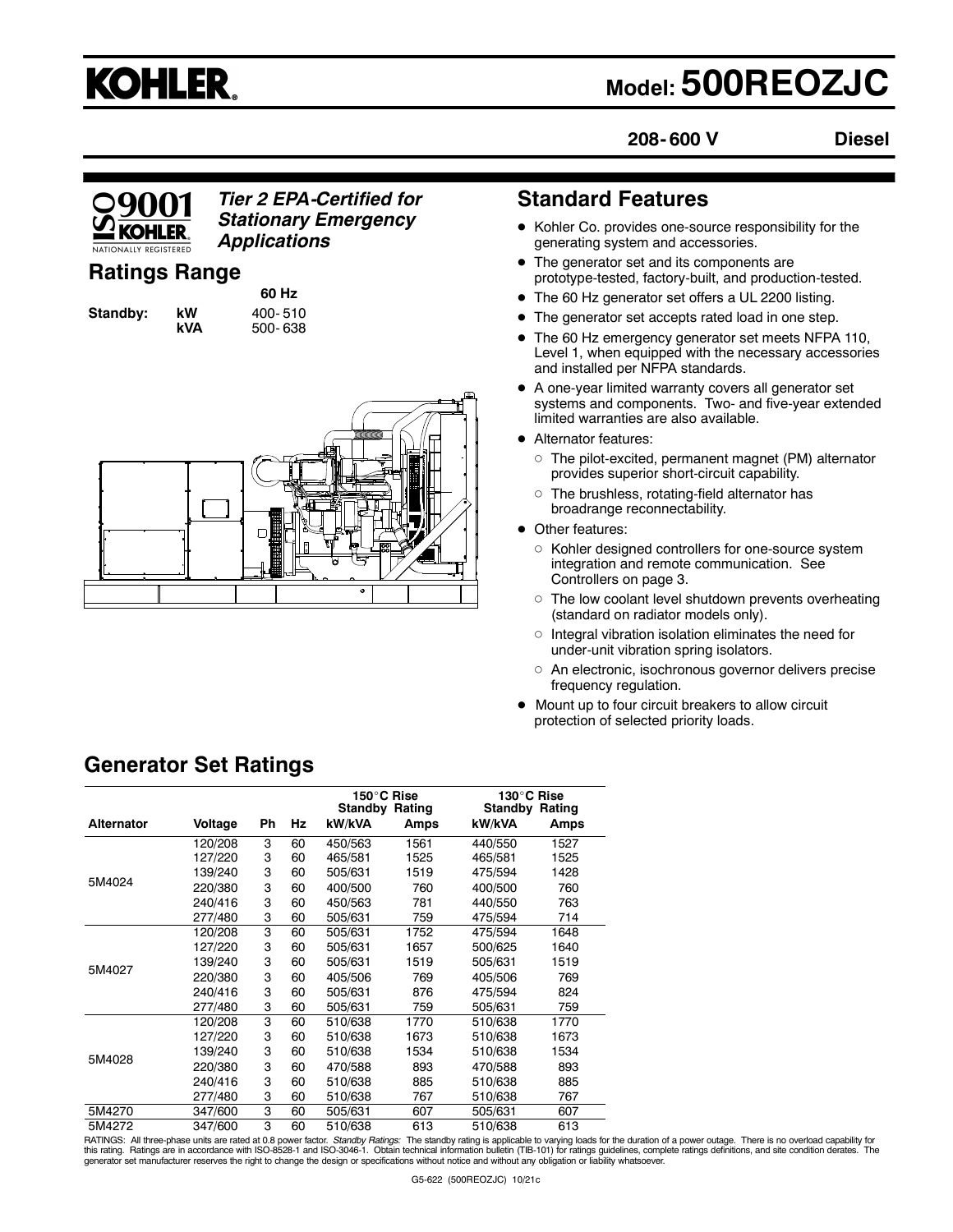# **KOHLER.**

## **Model: 500REOZJC**

**208- 600 V**

**Diesel**



*Tier 2 EPA-Certified for Stationary Emergency Applications*

## **Ratings Range**

**60 Hz Standby: kW 400-510<br><b>kVA** 500-638 **kVA** 500- 638



## **Standard Features**

- Kohler Co. provides one-source responsibility for the generating system and accessories.
- The generator set and its components are prototype-tested, factory-built, and production-tested.
- The 60 Hz generator set offers a UL 2200 listing.
- The generator set accepts rated load in one step.
- The 60 Hz emergency generator set meets NFPA 110, Level 1, when equipped with the necessary accessories and installed per NFPA standards.
- A one-year limited warranty covers all generator set systems and components. Two- and five-year extended limited warranties are also available.
- Alternator features:
	- The pilot-excited, permanent magnet (PM) alternator provides superior short-circuit capability.
	- $\circ$  The brushless, rotating-field alternator has broadrange reconnectability.
- Other features:
	- $\circ~$  Kohler designed controllers for one-source system integration and remote communication. See Controllers on page 3.
	- $\circ$  The low coolant level shutdown prevents overheating (standard on radiator models only).
	- Integral vibration isolation eliminates the need for under-unit vibration spring isolators.
	- An electronic, isochronous governor delivers precise frequency regulation.
- Mount up to four circuit breakers to allow circuit protection of selected priority loads.

|                   |         |    |    |         | 150°C Rise<br><b>Standby Rating</b> | 130°C Rise<br>Standby | Rating |
|-------------------|---------|----|----|---------|-------------------------------------|-----------------------|--------|
| <b>Alternator</b> | Voltage | Ph | Hz | kW/kVA  | Amps                                | kW/kVA                | Amps   |
|                   | 120/208 | 3  | 60 | 450/563 | 1561                                | 440/550               | 1527   |
|                   | 127/220 | 3  | 60 | 465/581 | 1525                                | 465/581               | 1525   |
|                   | 139/240 | 3  | 60 | 505/631 | 1519                                | 475/594               | 1428   |
| 5M4024            | 220/380 | 3  | 60 | 400/500 | 760                                 | 400/500               | 760    |
|                   | 240/416 | 3  | 60 | 450/563 | 781                                 | 440/550               | 763    |
|                   | 277/480 | 3  | 60 | 505/631 | 759                                 | 475/594               | 714    |
|                   | 120/208 | 3  | 60 | 505/631 | 1752                                | 475/594               | 1648   |
|                   | 127/220 | 3  | 60 | 505/631 | 1657                                | 500/625               | 1640   |
|                   | 139/240 | 3  | 60 | 505/631 | 1519                                | 505/631               | 1519   |
| 5M4027            | 220/380 | 3  | 60 | 405/506 | 769                                 | 405/506               | 769    |
|                   | 240/416 | 3  | 60 | 505/631 | 876                                 | 475/594               | 824    |
|                   | 277/480 | 3  | 60 | 505/631 | 759                                 | 505/631               | 759    |
| 5M4028            | 120/208 | 3  | 60 | 510/638 | 1770                                | 510/638               | 1770   |
|                   | 127/220 | 3  | 60 | 510/638 | 1673                                | 510/638               | 1673   |
|                   | 139/240 | 3  | 60 | 510/638 | 1534                                | 510/638               | 1534   |
|                   | 220/380 | 3  | 60 | 470/588 | 893                                 | 470/588               | 893    |
|                   | 240/416 | 3  | 60 | 510/638 | 885                                 | 510/638               | 885    |
|                   | 277/480 | 3  | 60 | 510/638 | 767                                 | 510/638               | 767    |
| 5M4270            | 347/600 | 3  | 60 | 505/631 | 607                                 | 505/631               | 607    |
| 5M4272            | 347/600 | 3  | 60 | 510/638 | 613                                 | 510/638               | 613    |

RATINGS: All three-phase units are rated at 0.8 power factor. *Standby Ratings:* The standby rating is applicable to varying loads for the duration of a power outage. There is no overload capability for<br>this rating. Rating generator set manufacturer reserves the right to change the design or specifications without notice and without any obligation or liability whatsoever.

## **Generator Set Ratings**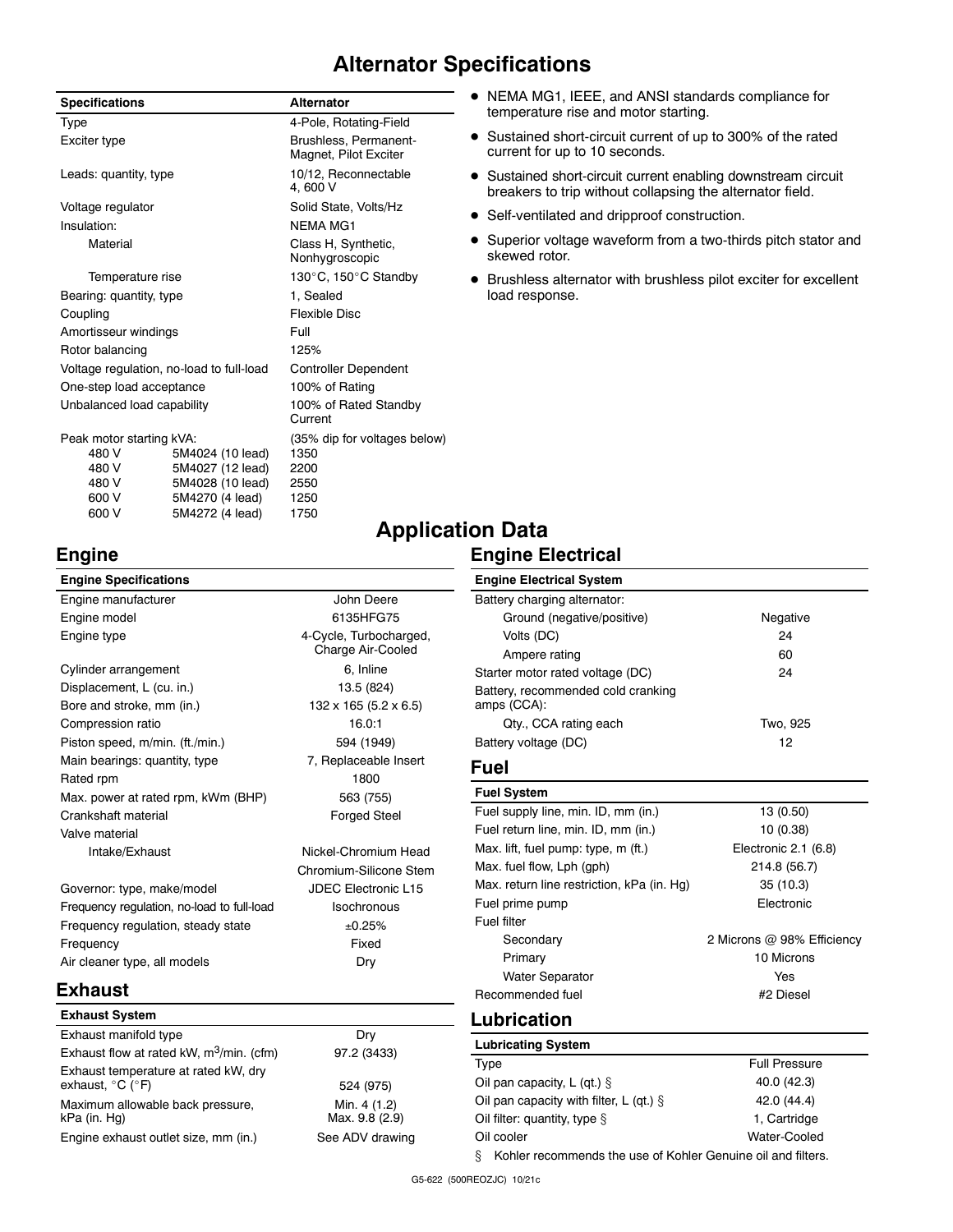## **Alternator Specifications**

| <b>Specifications</b>                    |                  | <b>Alternator</b>                              |
|------------------------------------------|------------------|------------------------------------------------|
| Type                                     |                  | 4-Pole, Rotating-Field                         |
| Exciter type                             |                  | Brushless, Permanent-<br>Magnet, Pilot Exciter |
| Leads: quantity, type                    |                  | 10/12, Reconnectable<br>4.600 V                |
| Voltage regulator                        |                  | Solid State, Volts/Hz                          |
| Insulation:                              |                  | <b>NFMA MG1</b>                                |
| Material                                 |                  | Class H, Synthetic,<br>Nonhygroscopic          |
| Temperature rise                         |                  | 130°C, 150°C Standby                           |
| Bearing: quantity, type                  |                  | 1, Sealed                                      |
| Coupling                                 |                  | <b>Flexible Disc</b>                           |
| Amortisseur windings                     |                  | Full                                           |
| Rotor balancing                          |                  | 125%                                           |
| Voltage regulation, no-load to full-load |                  | <b>Controller Dependent</b>                    |
| One-step load acceptance                 |                  | 100% of Rating                                 |
| Unbalanced load capability               |                  | 100% of Rated Standby<br>Current               |
| Peak motor starting kVA:                 |                  | (35% dip for voltages below)                   |
| 480 V                                    | 5M4024 (10 lead) | 1350                                           |
| 480 V                                    | 5M4027 (12 lead) | 2200                                           |
| 480 V                                    | 5M4028 (10 lead) | 2550                                           |
| 600 V                                    | 5M4270 (4 lead)  | 1250                                           |
| 600 V                                    | 5M4272 (4 lead)  | 1750                                           |

- NEMA MG1, IEEE, and ANSI standards compliance for temperature rise and motor starting.
- Sustained short-circuit current of up to 300% of the rated current for up to 10 seconds.
- Sustained short-circuit current enabling downstream circuit breakers to trip without collapsing the alternator field.
- Self-ventilated and dripproof construction.
- Superior voltage waveform from a two-thirds pitch stator and skewed rotor.
- Brushless alternator with brushless pilot exciter for excellent load response.

## **Engine**

| <b>Engine Specifications</b>               |                                             |
|--------------------------------------------|---------------------------------------------|
| Engine manufacturer                        | John Deere                                  |
| Engine model                               | 6135HFG75                                   |
| Engine type                                | 4-Cycle, Turbocharged,<br>Charge Air-Cooled |
| Cylinder arrangement                       | 6, Inline                                   |
| Displacement, L (cu. in.)                  | 13.5 (824)                                  |
| Bore and stroke, mm (in.)                  | 132 x 165 (5.2 x 6.5)                       |
| Compression ratio                          | 16.0:1                                      |
| Piston speed, m/min. (ft./min.)            | 594 (1949)                                  |
| Main bearings: quantity, type              | 7, Replaceable Insert                       |
| Rated rpm                                  | 1800                                        |
| Max. power at rated rpm, kWm (BHP)         | 563 (755)                                   |
| Crankshaft material                        | <b>Forged Steel</b>                         |
| Valve material                             |                                             |
| Intake/Exhaust                             | Nickel-Chromium Head                        |
|                                            | Chromium-Silicone Stem                      |
| Governor: type, make/model                 | <b>JDEC Electronic L15</b>                  |
| Frequency regulation, no-load to full-load | Isochronous                                 |
| Frequency regulation, steady state         | ±0.25%                                      |
| Frequency                                  | Fixed                                       |

## **Application Data Engine Electrical**

| <b>Engine Electrical System</b>                   |          |
|---------------------------------------------------|----------|
| Battery charging alternator:                      |          |
| Ground (negative/positive)                        | Negative |
| Volts (DC)                                        | 24       |
| Ampere rating                                     | 60       |
| Starter motor rated voltage (DC)                  | 24       |
| Battery, recommended cold cranking<br>amps (CCA): |          |
| Qty., CCA rating each                             | Two, 925 |
| Battery voltage (DC)                              | 12       |

## **Fuel**

| <b>Fuel System</b>                         |                            |
|--------------------------------------------|----------------------------|
| Fuel supply line, min. ID, mm (in.)        | 13 (0.50)                  |
| Fuel return line, min. ID, mm (in.)        | 10 (0.38)                  |
| Max. lift, fuel pump: type, m (ft.)        | Electronic 2.1 (6.8)       |
| Max. fuel flow, Lph (gph)                  | 214.8 (56.7)               |
| Max. return line restriction, kPa (in. Hq) | 35 (10.3)                  |
| Fuel prime pump                            | Electronic                 |
| Fuel filter                                |                            |
| Secondary                                  | 2 Microns @ 98% Efficiency |
| Primary                                    | 10 Microns                 |
| <b>Water Separator</b>                     | Yes                        |
| Recommended fuel                           | #2 Diesel                  |

## **Exhaust**

| <b>Exhaust System</b>                                                         |                                |
|-------------------------------------------------------------------------------|--------------------------------|
| Exhaust manifold type                                                         | Drv                            |
| Exhaust flow at rated kW, m <sup>3</sup> /min. (cfm)                          | 97.2 (3433)                    |
| Exhaust temperature at rated kW, dry<br>exhaust, $^{\circ}$ C ( $^{\circ}$ F) | 524 (975)                      |
| Maximum allowable back pressure,<br>kPa (in. Hg)                              | Min. 4 (1.2)<br>Max. 9.8 (2.9) |
| Engine exhaust outlet size, mm (in.)                                          | See ADV drawing                |

Air cleaner type, all models Dry

## **Lubrication**

| <b>Lubricating System</b>                                         |                      |  |  |
|-------------------------------------------------------------------|----------------------|--|--|
| Type                                                              | <b>Full Pressure</b> |  |  |
| Oil pan capacity, L (qt.) $\S$                                    | 40.0 (42.3)          |  |  |
| Oil pan capacity with filter, L (qt.) $\S$                        | 42.0 (44.4)          |  |  |
| Oil filter: quantity, type $\S$                                   | 1. Cartridge         |  |  |
| Water-Cooled<br>Oil cooler                                        |                      |  |  |
| Kohler recommends the use of Kohler Genuine oil and filters.<br>ş |                      |  |  |

G5-622 (500REOZJC) 10/21c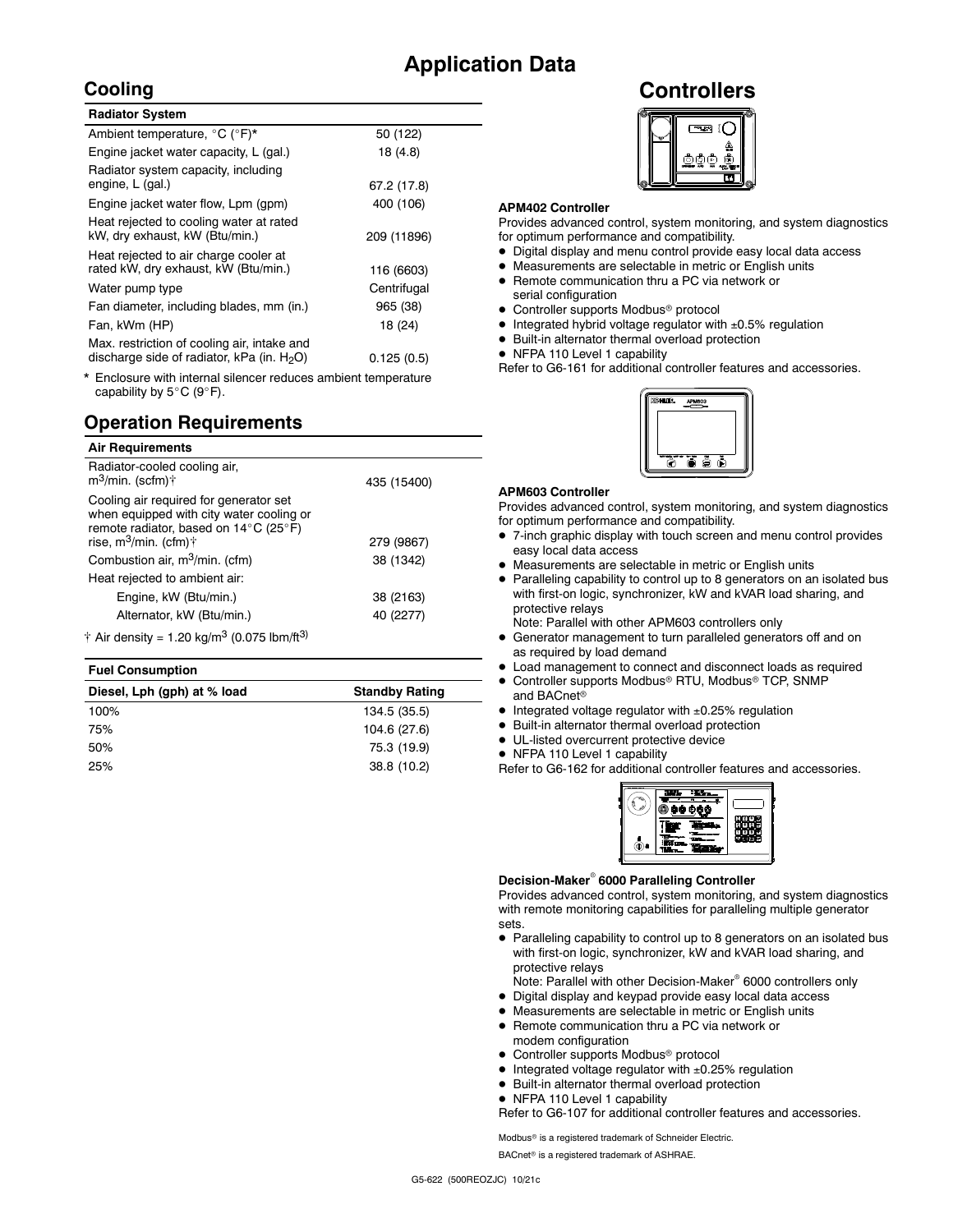## **Application Data**

## **Cooling**

| 50 (122)    |
|-------------|
| 18 (4.8)    |
| 67.2 (17.8) |
| 400 (106)   |
| 209 (11896) |
| 116 (6603)  |
| Centrifugal |
| 965 (38)    |
| 18 (24)     |
| 0.125(0.5)  |
|             |

Enclosure with internal silencer reduces ambient temperature capability by  $5^{\circ}$ C (9°F).

## **Operation Requirements**

| <b>Air Requirements</b>                                                                                                                                                               |             |  |
|---------------------------------------------------------------------------------------------------------------------------------------------------------------------------------------|-------------|--|
| Radiator-cooled cooling air,<br>$m^3$ /min. (scfm) $\dagger$                                                                                                                          | 435 (15400) |  |
| Cooling air required for generator set<br>when equipped with city water cooling or<br>remote radiator, based on $14^{\circ}$ C (25 $^{\circ}$ F)<br>rise, m $3$ /min. (cfm) $\dagger$ | 279 (9867)  |  |
| Combustion air, m <sup>3</sup> /min. (cfm)                                                                                                                                            | 38 (1342)   |  |
| Heat rejected to ambient air:                                                                                                                                                         |             |  |
| Engine, kW (Btu/min.)<br>38 (2163)                                                                                                                                                    |             |  |
| Alternator, kW (Btu/min.)                                                                                                                                                             | 40 (2277)   |  |
| $+$ Air depair $+$ 00 kg/m <sup>3</sup> (0.075 lbm/ft <sup>3</sup> )                                                                                                                  |             |  |

 $\dagger$  Air density = 1.20 kg/m<sup>3</sup> (0.075 lbm/ft<sup>3)</sup>

#### **Fuel Consumption**

| Diesel, Lph (gph) at % load | <b>Standby Rating</b> |
|-----------------------------|-----------------------|
| 100%                        | 134.5 (35.5)          |
| 75%                         | 104.6 (27.6)          |
| 50%                         | 75.3 (19.9)           |
| 25%                         | 38.8 (10.2)           |

**Controllers**



#### **APM402 Controller**

Provides advanced control, system monitoring, and system diagnostics for optimum performance and compatibility.

- Digital display and menu control provide easy local data access
- Measurements are selectable in metric or English units • Remote communication thru a PC via network or
- serial configuration
- Controller supports Modbus<sup>®</sup> protocol
- $\bullet$  Integrated hybrid voltage regulator with  $\pm 0.5\%$  regulation
- Built-in alternator thermal overload protection
- NFPA 110 Level 1 capability

Refer to G6-161 for additional controller features and accessories.



#### **APM603 Controller**

Provides advanced control, system monitoring, and system diagnostics for optimum performance and compatibility.

- 7-inch graphic display with touch screen and menu control provides easy local data access
- Measurements are selectable in metric or English units
- Paralleling capability to control up to 8 generators on an isolated bus with first-on logic, synchronizer, kW and kVAR load sharing, and protective relays
- Note: Parallel with other APM603 controllers only Generator management to turn paralleled generators off and on
- as required by load demand
- Load management to connect and disconnect loads as required
- Controller supports Modbus® RTU, Modbus® TCP, SNMP and BACnet
- Integrated voltage regulator with ±0.25% regulation
- Built-in alternator thermal overload protection
- UL-listed overcurrent protective device
- NFPA 110 Level 1 capability

Refer to G6-162 for additional controller features and accessories.



#### **Decision-Maker 6000 Paralleling Controller**

Provides advanced control, system monitoring, and system diagnostics with remote monitoring capabilities for paralleling multiple generator sets.

 Paralleling capability to control up to 8 generators on an isolated bus with first-on logic, synchronizer, kW and kVAR load sharing, and protective relays

Note: Parallel with other Decision-Maker<sup>®</sup> 6000 controllers only

- Digital display and keypad provide easy local data access
- Measurements are selectable in metric or English units
- Remote communication thru a PC via network or modem configuration
- Controller supports Modbus<sup>®</sup> protocol
- Integrated voltage regulator with ±0.25% regulation
- Built-in alternator thermal overload protection
- NFPA 110 Level 1 capability

Refer to G6-107 for additional controller features and accessories.

Modbus<sup>®</sup> is a registered trademark of Schneider Electric.

BACnet<sup>®</sup> is a registered trademark of ASHRAE.